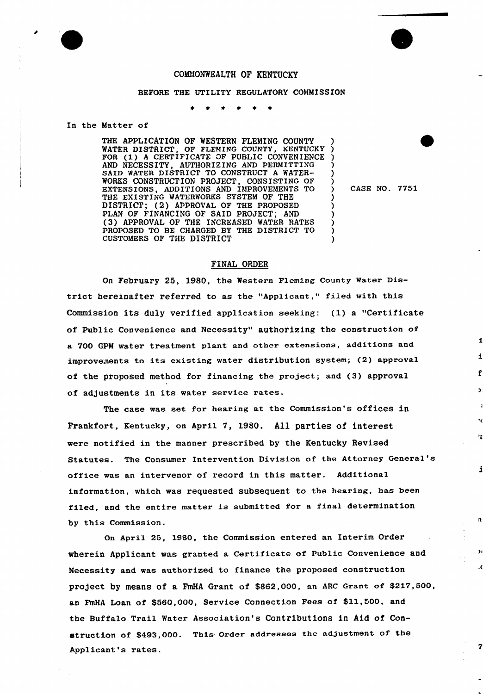## COMMONWEALTH OF KENTUCKY

## BEFORE THE UTILITY REGULATORY COMMISSION

#### In the Matter of

THE APPLICATION OF WESTERN FLEMING COUNTY<br>WATER DISTRICT. OF FLEMING COUNTY, KENTUCKY WATER DISTRICT, OF FLEMING COUNTY, FOR (1) <sup>A</sup> CERTIFICATE OF PUBLIC CONVENIENCE AND NECESSITY, AUTHORIZING AND PERMITTING SAID WATER DISTRICT TO CONSTRUCT <sup>A</sup> WATER-WORKS CONSTRUCTION PROJECT, CONSISTING OF EXTENSIONS, ADDITIONS AND IMPROVEMENTS TO THE EXISTING WATERWORKS SYSTEM OF THE DISTRICT; (2) APPROVAL OF THE PROPOSED PLAN OF FINANCING OF SAID PROJECT; AND (3) APPROVAL OF THE INCREASED WATER RATES PROPOSED TO BE CHARGED BY THE DISTRICT TO CUSTOMERS OF THE DISTRICT

) CASE NO. 7751

 $\mathbf{a}$ 

 $\mathcal{H}$ 

 $\overline{7}$ 

) ) ) ) ) )

)

) ) ) )

## FINAL ORDER

On February 25, 1980, the Western Fleming County Water District hereinafter referred to as the "Applicant," filed with this Commission its duly verified application seeking: (1) a "Certificate of Public Convenience and Necessity" authorizing the construction of a 700 GPM water treatment plant and other extensions, additions and improvements to its existing water distribution system; (2) approval of the proposed method for financing the project; and (3) approval of adjustments in its water service rates.

The case was set for hearing at the Commission's offices in Frankfort, Kentucky, on April 7, 1980. All parties of interest were notified in the manner prescribed by the Kentucky Revised Statutes. The Consumer Intervention Division of the Attorney General' office was an intervenor of record in this matter. Additional information, which was requested subsequent to the hearing, has been filed, and the entire matter is submitted for <sup>a</sup> final determination by this Commission.

On April 25, 1980, the Commission entered an Interim Order wherein Applicant was granted a Certificate of Public Convenience and Necessity and was authorized to finance the proposed construction project by means of a FmHA Grant of \$862,000, an ARC Grant of \$217,500, an FmHA Loan of \$560,000, Service Connection Fees of \$11,500. and the Buffalo Trail Water Association's Contributions in Aid of Construction of \$493,000. This Order addresses the adjustment of the Applicant's rates.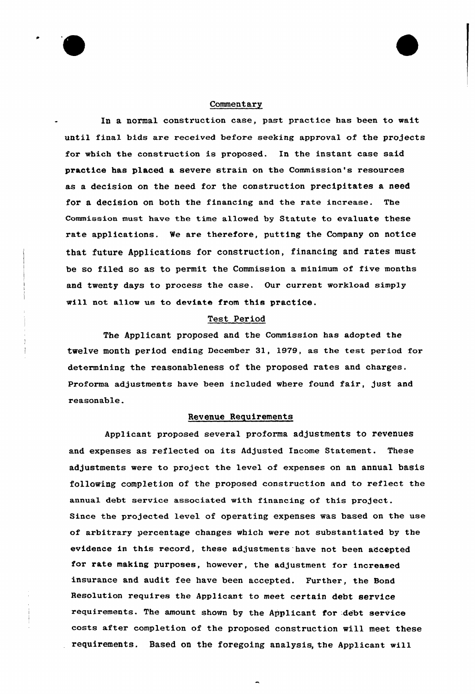### Commentary

In a normal construction case, past practice has been to wait until final bids are received before seeking approval of the projects for which the construction is proposed. In the instant case said practice has placed a severe strain on the Commission's resources as a decision on the need for the construction precipitates a need for a decision on both the financing and the rate increase. The Commission must have the time allowed by Statute to evaluate these rate applicatians. We are therefore, putting the Company on notice that future Applications for construction, financing and rates must be so filed so as to permit the Commission a minimum of five months and twenty days to process the case. Our current workload simply will not allow us to deviate from this practice.

# Test Period

The Applicant proposed and the Commission has adopted the twelve month period ending December 31, 1979, as the test period for determining the reasonableness of the proposed rates and charges. Proforma adjustments have been included where found fair, just and reasonable.

## Revenue Requirements

Applicant proposed several proforma adjustments to revenues and expenses as reflected on its Adjusted Income Statement. These adjustments were to project the level of expenses on an annual basis following completion of the proposed construction and to reflect the annual debt service associated with financing of this project. Since the projected level of operating expenses was based on the use of arbitrary percentage changes which were not substantiated by the evidence in this record, these adjustments have not been accepted for rate making purposes, however, the adjustment for increased insurance and audit fee have been accepted. Further, the Bond Resolution requires the Applicant to meet certain debt service requirements. The amount shown by the Applicant for debt service costs after completion of the proposed construction will meet these requirements. Based on the foregoing analysis, the Applicant will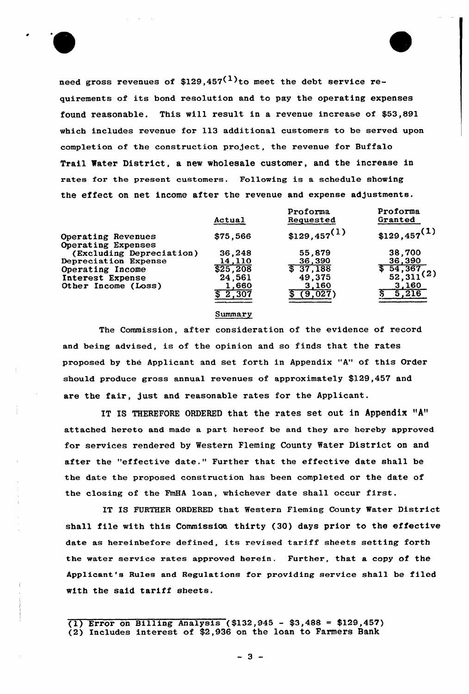

need gross revenues of \$129,457 $(1)$ to meet the debt service requirements of its bond resolution and to pay the operating expenses found reasonable. This will result in a revenue increase of \$53,891 which includes revenue for 113 additional customers to be served upon completion of the construction project, the revenue for Buffalo Trail Water District, a new wholesale customer, and the increase in rates for the present customers. Following is a schedule showing the effect on net income after the revenue and expense adjustments.

|                                                | Actual         | Proforma<br>Requested     | Proforma<br>Granted                             |
|------------------------------------------------|----------------|---------------------------|-------------------------------------------------|
| Operating Revenues                             | \$75,566       | $$129,457$ <sup>(1)</sup> | $$129,457^{(1)}$$                               |
| Operating Expenses<br>(Excluding Depreciation) | 36,248         | 55,879                    | 38,700                                          |
| Depreciation Expense                           | 14,110         | 36,390                    | 36,390                                          |
| Operating Income                               | \$25,208       | \$37,188                  | $\frac{1}{2}$ 54, 367<br>52, 311 <sup>(2)</sup> |
| Interest Expense                               | 24,561         | 49,375                    |                                                 |
| Other Income (Loss)                            | 1.660<br>2,307 | 3,160<br>9,027            | 3,160<br>216                                    |
|                                                |                |                           |                                                 |

#### **Summary**

The Commission, after consideration of the evidence of record and being advised, is of the opinion and so finds that the rates proposed by the Applicant and set forth in Appendix "A" of this Order should produce gross annual revenues of approximately \$129,457 and are the fair, just and reasonable rates for the Applicant.

IT IS THEREFORE ORDERED that the rates set out in Appendix "A" attached hereto and made a part hereof be and they are hereby approved for services rendered by Western Fleming County Water District on and after the "effective date." Further that the effective date shall be the date the proposed construction has been completed or the date of the closing of the FmHA loan, whichever date shall occur first.

IT IS FURTHER ORDERED that Western Fleming County Water District shall file with this Commission thirty (30) days prior to the effective date as hereinbefore defined, its revised tariff sheets setting forth the water service rates approved herein. Further, that a copy of the Applicant's Rules and Regulations for providing service shall be filed with the said tariff sheets.

(1) Error on Billing Analysis (\$132,945 - \$3,488 = \$129,457) (2) Includes interest of \$2,936 on the loan to Farmers Bank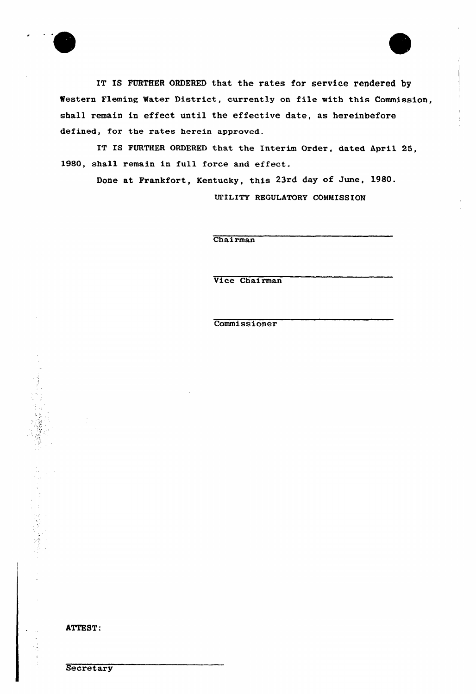

IT IS FURTHER ORDERED that the rates for service rendered by Western Fleming Water District, currently on file with this Commission, shall remain in effect until the effective date, as hereinbefore defined, for the rates herein approved.

IT IS FURTHER ORDERED that the Interim Order, dated April 25, 1980, shall remain in full force and effect.

Done at Frankfort, Kentucky, this 23rd day of June, 1980. UTILITY REGULATORY COMMISSION

Chairman

Uice Chairman

**Commissioner** 



一、 大家 清凉